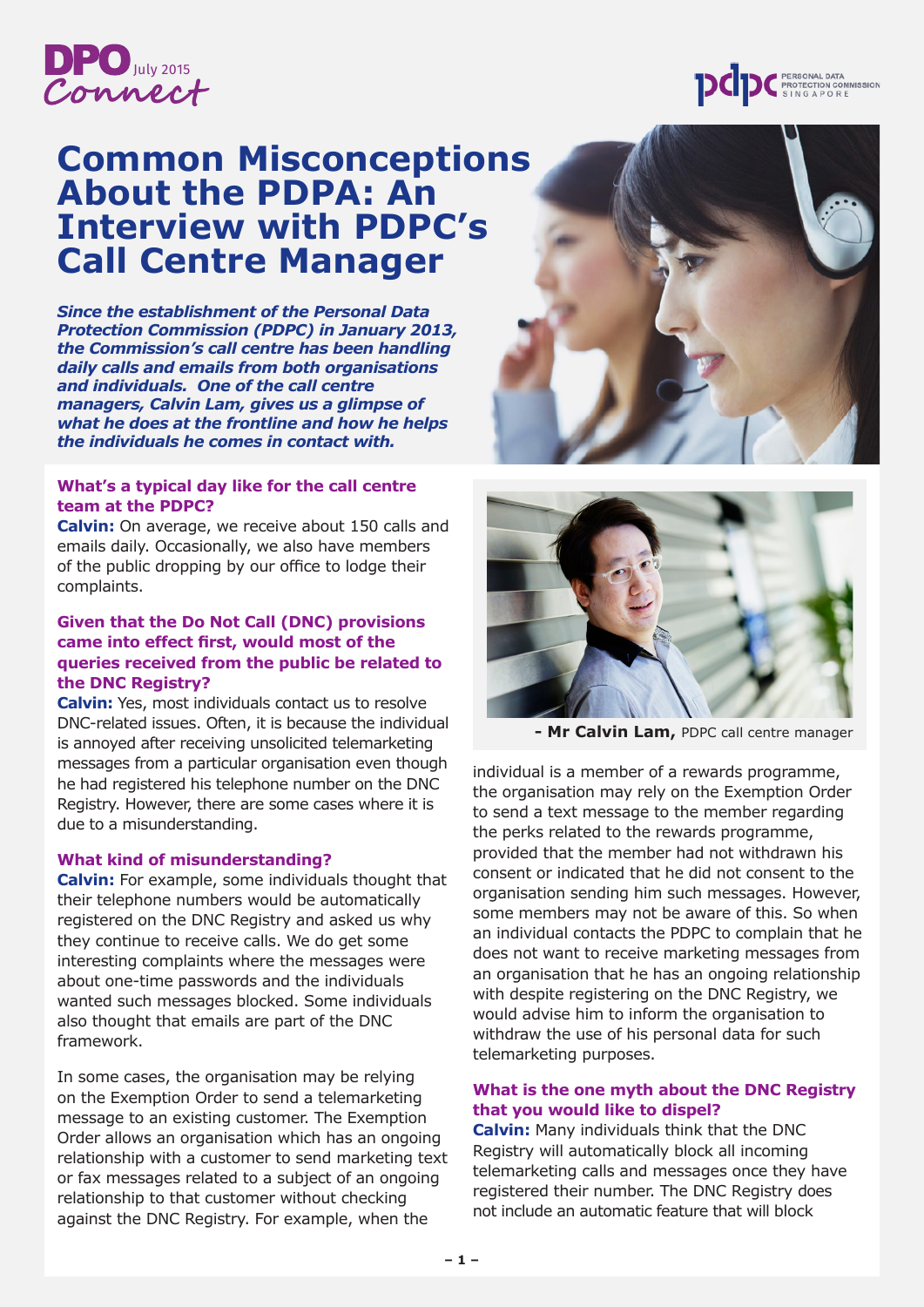

# **Common Misconceptions About the PDPA: An Interview with PDPC's Call Centre Manager**

*Since the establishment of the Personal Data Protection Commission (PDPC) in January 2013, the Commission's call centre has been handling daily calls and emails from both organisations and individuals. One of the call centre managers, Calvin Lam, gives us a glimpse of what he does at the frontline and how he helps the individuals he comes in contact with.* 

### **What's a typical day like for the call centre team at the PDPC?**

**Calvin:** On average, we receive about 150 calls and emails daily. Occasionally, we also have members of the public dropping by our office to lodge their complaints.

## **Given that the Do Not Call (DNC) provisions came into effect first, would most of the queries received from the public be related to the DNC Registry?**

**Calvin:** Yes, most individuals contact us to resolve DNC-related issues. Often, it is because the individual is annoyed after receiving unsolicited telemarketing messages from a particular organisation even though he had registered his telephone number on the DNC Registry. However, there are some cases where it is due to a misunderstanding.

#### **What kind of misunderstanding?**

**Calvin:** For example, some individuals thought that their telephone numbers would be automatically registered on the DNC Registry and asked us why they continue to receive calls. We do get some interesting complaints where the messages were about one-time passwords and the individuals wanted such messages blocked. Some individuals also thought that emails are part of the DNC framework.

In some cases, the organisation may be relying on the Exemption Order to send a telemarketing message to an existing customer. The Exemption Order allows an organisation which has an ongoing relationship with a customer to send marketing text or fax messages related to a subject of an ongoing relationship to that customer without checking against the DNC Registry. For example, when the





**- Mr Calvin Lam,** PDPC call centre manager

individual is a member of a rewards programme, the organisation may rely on the Exemption Order to send a text message to the member regarding the perks related to the rewards programme, provided that the member had not withdrawn his consent or indicated that he did not consent to the organisation sending him such messages. However, some members may not be aware of this. So when an individual contacts the PDPC to complain that he does not want to receive marketing messages from an organisation that he has an ongoing relationship with despite registering on the DNC Registry, we would advise him to inform the organisation to withdraw the use of his personal data for such telemarketing purposes.

#### **What is the one myth about the DNC Registry that you would like to dispel?**

**Calvin:** Many individuals think that the DNC Registry will automatically block all incoming telemarketing calls and messages once they have registered their number. The DNC Registry does not include an automatic feature that will block